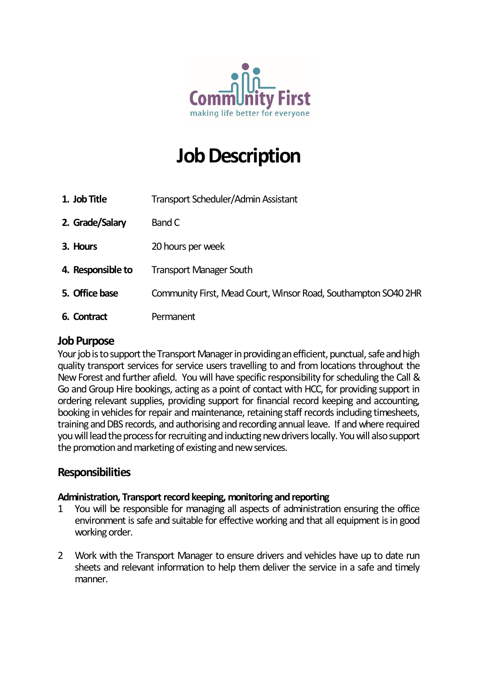

# **Job Description**

- **1. Job Title** Transport Scheduler/Admin Assistant
- **2. Grade/Salary** Band C
- **3. Hours** 20 hours per week
- **4. Responsible to** Transport Manager South
- **5. Office base** Community First, Mead Court, Winsor Road, Southampton SO40 2HR
- **6. Contract** Permanent

#### **Job Purpose**

Your job is to support the Transport Manager in providing an efficient, punctual, safe and high quality transport services for service users travelling to and from locations throughout the New Forest and further afield. You will have specific responsibility for scheduling the Call & Go and Group Hire bookings, acting as a point of contact with HCC, for providing support in ordering relevant supplies, providing support for financial record keeping and accounting, booking in vehicles for repair and maintenance, retaining staff records including timesheets, training and DBS records, and authorising and recording annual leave. If and where required you will lead the process for recruiting and inducting newdrivers locally. You will also support the promotion and marketing of existing and new services.

#### **Responsibilities**

#### **Administration, Transport record keeping, monitoring and reporting**

- 1 You will be responsible for managing all aspects of administration ensuring the office environment is safe and suitable for effective working and that all equipment is in good working order.
- 2 Work with the Transport Manager to ensure drivers and vehicles have up to date run sheets and relevant information to help them deliver the service in a safe and timely manner.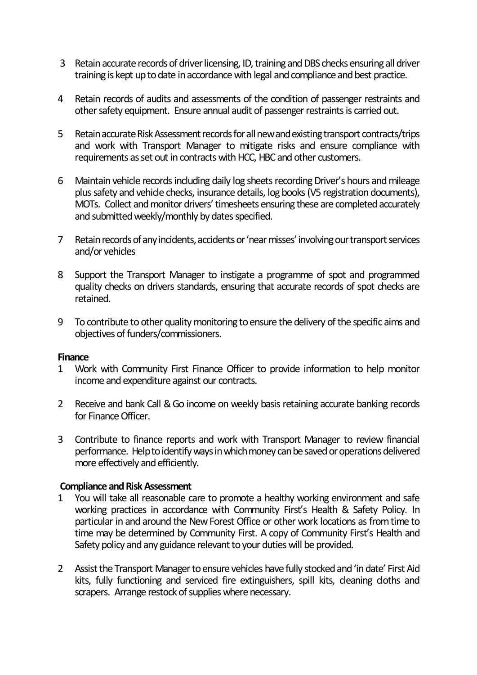- 3 Retain accurate records of driver licensing, ID, training and DBS checks ensuring all driver training is kept up to date in accordance with legal and compliance and best practice.
- 4 Retain records of audits and assessments of the condition of passenger restraints and other safety equipment. Ensure annual audit of passenger restraints is carried out.
- 5 Retain accurate Risk Assessment records for all new and existing transport contracts/trips and work with Transport Manager to mitigate risks and ensure compliance with requirements as set out in contracts with HCC, HBC and other customers.
- 6 Maintain vehicle records including daily log sheets recording Driver's hours and mileage plus safety and vehicle checks, insurance details, log books (V5 registration documents), MOTs. Collect and monitor drivers' timesheets ensuring these are completed accurately and submitted weekly/monthly by dates specified.
- 7 Retain records of any incidents, accidents or 'near misses' involving our transport services and/or vehicles
- 8 Support the Transport Manager to instigate a programme of spot and programmed quality checks on drivers standards, ensuring that accurate records of spot checks are retained.
- 9 To contribute to other quality monitoring to ensure the delivery of the specific aims and objectives of funders/commissioners.

#### **Finance**

- 1 Work with Community First Finance Officer to provide information to help monitor income and expenditure against our contracts.
- 2 Receive and bank Call & Go income on weekly basis retaining accurate banking records for Finance Officer.
- 3 Contribute to finance reports and work with Transport Manager to review financial performance. Help to identify ways in which money can be saved or operations delivered more effectively and efficiently.

#### **Compliance and Risk Assessment**

- 1 You will take all reasonable care to promote a healthy working environment and safe working practices in accordance with Community First's Health & Safety Policy. In particular in and around the New Forest Office or other work locations as from time to time may be determined by Community First. A copy of Community First's Health and Safety policy and any guidance relevant to your duties will be provided.
- 2 Assist the Transport Manager to ensure vehicles have fully stocked and 'in date' First Aid kits, fully functioning and serviced fire extinguishers, spill kits, cleaning cloths and scrapers. Arrange restock of supplies where necessary.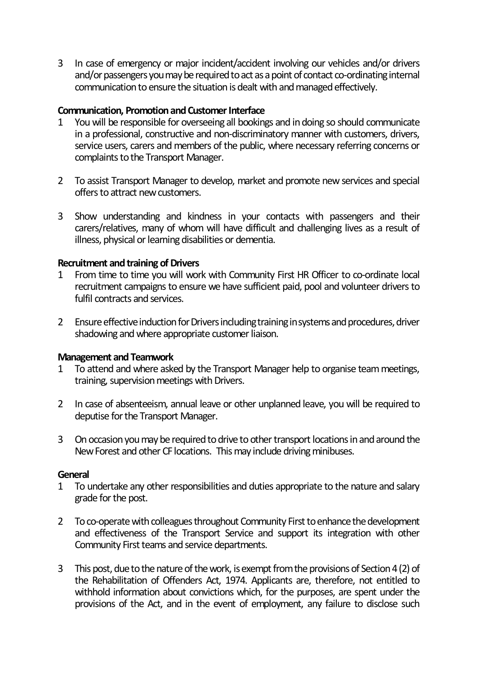3 In case of emergency or major incident/accident involving our vehicles and/or drivers and/or passengers you may be required to act as a point of contact co-ordinating internal communication to ensure the situation is dealt with and managed effectively.

#### **Communication, Promotion and Customer Interface**

- 1 You will be responsible for overseeing all bookings and in doing so should communicate in a professional, constructive and non-discriminatory manner with customers, drivers, service users, carers and members of the public, where necessary referring concerns or complaints to the Transport Manager.
- 2 To assist Transport Manager to develop, market and promote new services and special offers to attract new customers.
- 3 Show understanding and kindness in your contacts with passengers and their carers/relatives, many of whom will have difficult and challenging lives as a result of illness, physical or learning disabilities or dementia.

#### **Recruitment and training of Drivers**

- 1 From time to time you will work with Community First HR Officer to co-ordinate local recruitment campaigns to ensure we have sufficient paid, pool and volunteer drivers to fulfil contracts and services.
- 2 Ensure effective induction for Drivers including training in systems and procedures, driver shadowing and where appropriate customer liaison.

#### **Management and Teamwork**

- 1 To attend and where asked by the Transport Manager help to organise team meetings, training, supervision meetings with Drivers.
- 2 In case of absenteeism, annual leave or other unplanned leave, you will be required to deputise for the Transport Manager.
- 3 On occasion you may be required to drive to other transport locations in and around the New Forest and other CF locations. This may include driving minibuses.

#### **General**

- 1 To undertake any other responsibilities and duties appropriate to the nature and salary grade for the post.
- 2 To co-operate with colleagues throughout Community First to enhance the development and effectiveness of the Transport Service and support its integration with other Community First teams and service departments.
- 3 This post, due to the nature of the work, is exempt from the provisions of Section 4 (2) of the Rehabilitation of Offenders Act, 1974. Applicants are, therefore, not entitled to withhold information about convictions which, for the purposes, are spent under the provisions of the Act, and in the event of employment, any failure to disclose such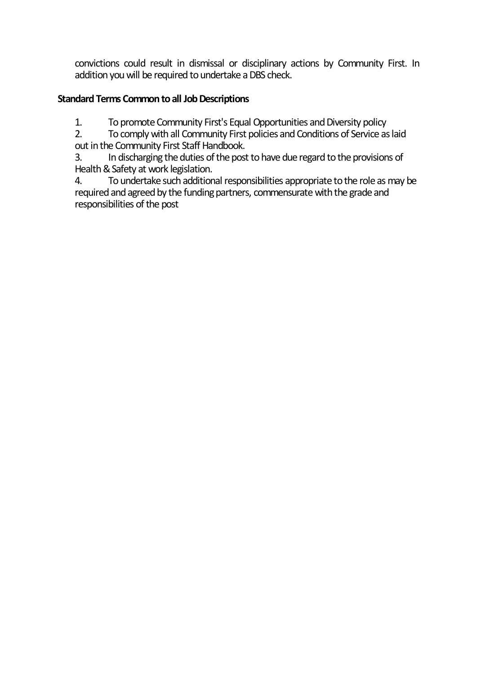convictions could result in dismissal or disciplinary actions by Community First. In addition you will be required to undertake a DBS check.

### **Standard Terms Common to all Job Descriptions**

1. To promote Community First's Equal Opportunities and Diversity policy

2. To comply with all Community First policies and Conditions of Service as laid out in the Community First Staff Handbook.

3. In discharging the duties of the post to have due regard to the provisions of Health & Safety at work legislation.

4. To undertake such additional responsibilities appropriate to the role as may be required and agreed by the funding partners, commensurate with the grade and responsibilities of the post